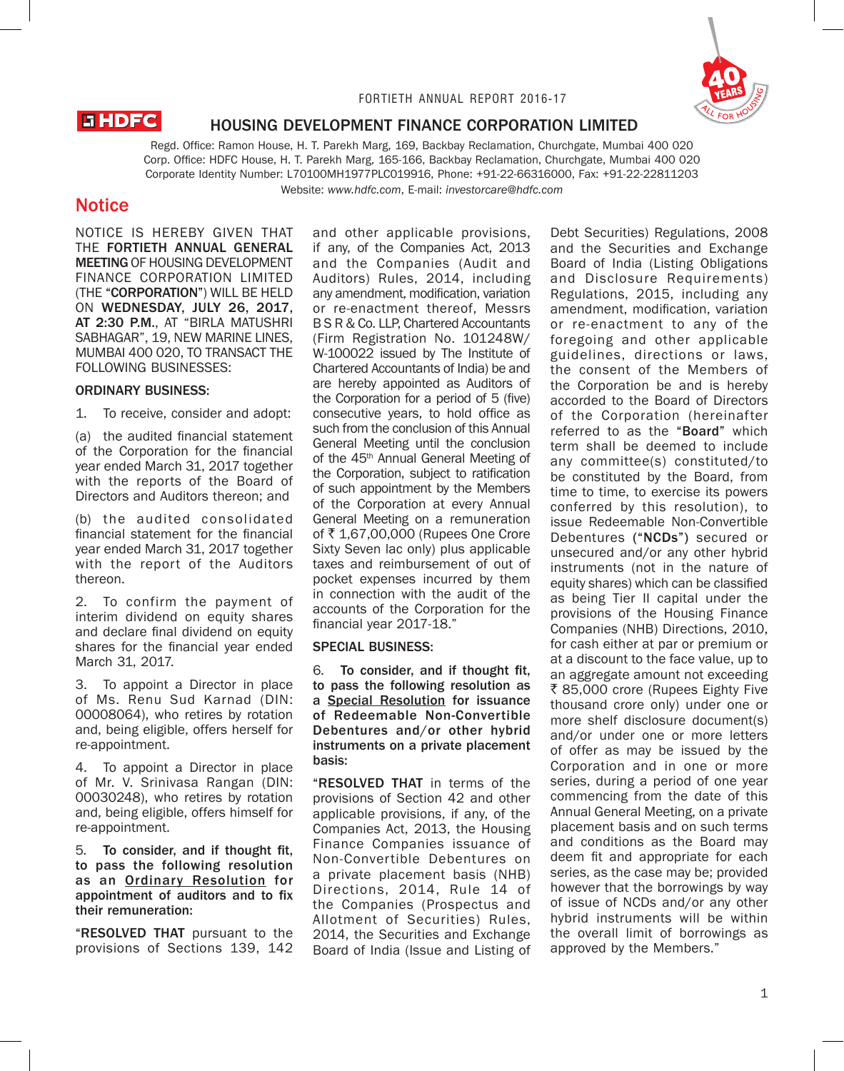

#### FORTIETH ANNUAL REPORT 2016-17

# **EHDFC**

# HOUSING DEVELOPMENT FINANCE CORPORATION LIMITED

Regd. Office: Ramon House, H. T. Parekh Marg, 169, Backbay Reclamation, Churchgate, Mumbai 400 020 Corp. Office: HDFC House, H. T. Parekh Marg, 165-166, Backbay Reclamation, Churchgate, Mumbai 400 020 Corporate Identity Number: L70100MH1977PLC019916, Phone: +91-22-66316000, Fax: +91-22-22811203 Website: *www.hdfc.com*, E-mail: *investorcare@hdfc.com*

# **Notice**

NOTICE IS HEREBY GIVEN THAT THE FORTIETH ANNUAL GENERAL MEETING OF HOUSING DEVELOPMENT FINANCE CORPORATION LIMITED (THE "CORPORATION") WILL BE HELD ON WEDNESDAY, JULY 26, 2017, AT 2:30 P.M., AT "BIRLA MATUSHRI SABHAGAR", 19, NEW MARINE LINES, MUMBAI 400 020, TO TRANSACT THE FOLLOWING BUSINESSES:

## ORDINARY BUSINESS:

1. To receive, consider and adopt:

(a) the audited financial statement of the Corporation for the financial year ended March 31, 2017 together with the reports of the Board of Directors and Auditors thereon; and

(b) the audited consolidated financial statement for the financial year ended March 31, 2017 together with the report of the Auditors thereon.

2. To confirm the payment of interim dividend on equity shares and declare final dividend on equity shares for the financial year ended March 31, 2017.

3. To appoint a Director in place of Ms. Renu Sud Karnad (DIN: 00008064), who retires by rotation and, being eligible, offers herself for re-appointment.

4. To appoint a Director in place of Mr. V. Srinivasa Rangan (DIN: 00030248), who retires by rotation and, being eligible, offers himself for re-appointment.

5. To consider, and if thought fit, to pass the following resolution as an Ordinary Resolution for appointment of auditors and to fix their remuneration:

"RESOLVED THAT pursuant to the provisions of Sections 139, 142 and other applicable provisions, if any, of the Companies Act, 2013 and the Companies (Audit and Auditors) Rules, 2014, including any amendment, modification, variation or re-enactment thereof, Messrs B S R & Co. LLP, Chartered Accountants (Firm Registration No. 101248W/ W-100022 issued by The Institute of Chartered Accountants of India) be and are hereby appointed as Auditors of the Corporation for a period of 5 (five) consecutive years, to hold office as such from the conclusion of this Annual General Meeting until the conclusion of the 45<sup>th</sup> Annual General Meeting of the Corporation, subject to ratification of such appointment by the Members of the Corporation at every Annual General Meeting on a remuneration of ₹1,67,00,000 (Rupees One Crore Sixty Seven lac only) plus applicable taxes and reimbursement of out of pocket expenses incurred by them in connection with the audit of the accounts of the Corporation for the financial year 2017-18."

## SPECIAL BUSINESS:

6. To consider, and if thought fit, to pass the following resolution as a Special Resolution for issuance of Redeemable Non-Convertible Debentures and/or other hybrid instruments on a private placement basis:

"RESOLVED THAT in terms of the provisions of Section 42 and other applicable provisions, if any, of the Companies Act, 2013, the Housing Finance Companies issuance of Non-Convertible Debentures on a private placement basis (NHB) Directions, 2014, Rule 14 of the Companies (Prospectus and Allotment of Securities) Rules, 2014, the Securities and Exchange Board of India (Issue and Listing of

Debt Securities) Regulations, 2008 and the Securities and Exchange Board of India (Listing Obligations and Disclosure Requirements) Regulations, 2015, including any amendment, modification, variation or re-enactment to any of the foregoing and other applicable guidelines, directions or laws, the consent of the Members of the Corporation be and is hereby accorded to the Board of Directors of the Corporation (hereinafter referred to as the "Board" which term shall be deemed to include any committee(s) constituted/to be constituted by the Board, from time to time, to exercise its powers conferred by this resolution), to issue Redeemable Non-Convertible Debentures ("NCDs") secured or unsecured and/or any other hybrid instruments (not in the nature of equity shares) which can be classified as being Tier II capital under the provisions of the Housing Finance Companies (NHB) Directions, 2010, for cash either at par or premium or at a discount to the face value, up to an aggregate amount not exceeding ₹ 85,000 crore (Rupees Eighty Five thousand crore only) under one or more shelf disclosure document(s) and/or under one or more letters of offer as may be issued by the Corporation and in one or more series, during a period of one year commencing from the date of this Annual General Meeting, on a private placement basis and on such terms and conditions as the Board may deem fit and appropriate for each series, as the case may be; provided however that the borrowings by way of issue of NCDs and/or any other hybrid instruments will be within the overall limit of borrowings as approved by the Members."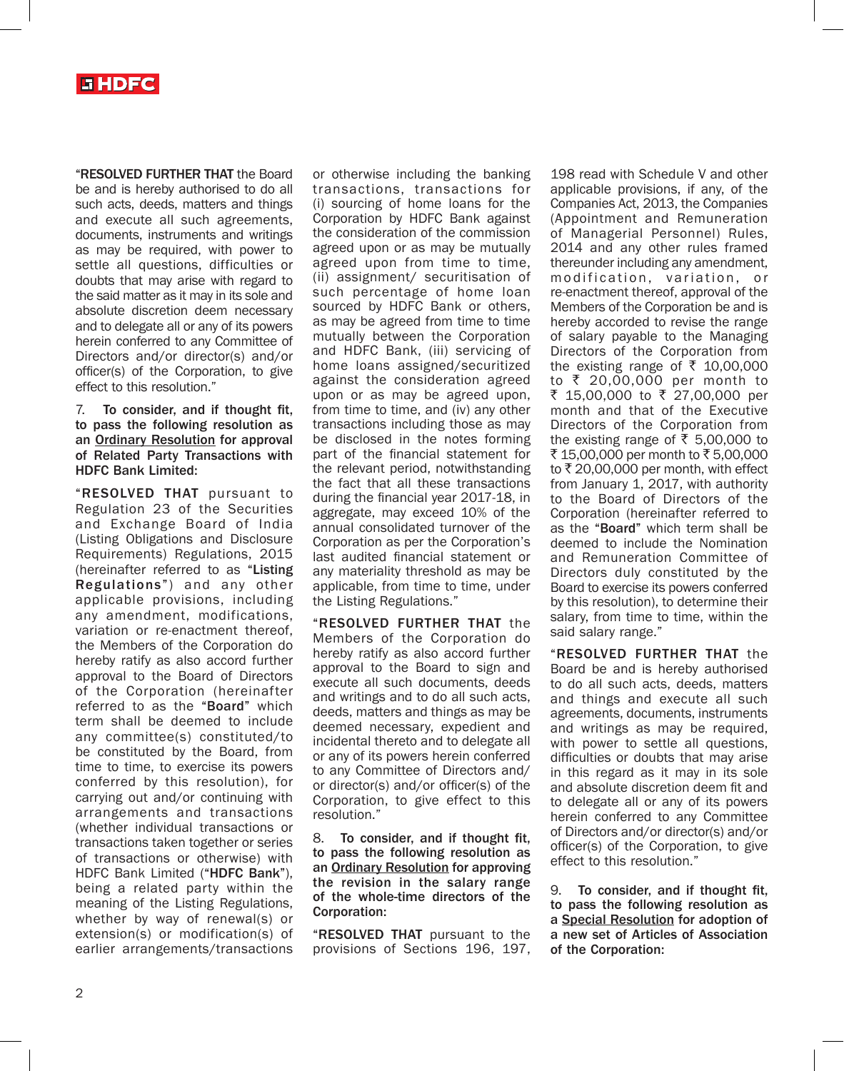

"RESOLVED FURTHER THAT the Board be and is hereby authorised to do all such acts, deeds, matters and things and execute all such agreements, documents, instruments and writings as may be required, with power to settle all questions, difficulties or doubts that may arise with regard to the said matter as it may in its sole and absolute discretion deem necessary and to delegate all or any of its powers herein conferred to any Committee of Directors and/or director(s) and/or officer(s) of the Corporation, to give effect to this resolution."

7. To consider, and if thought fit, to pass the following resolution as an Ordinary Resolution for approval of Related Party Transactions with HDFC Bank Limited:

"RESOLVED THAT pursuant to Regulation 23 of the Securities and Exchange Board of India (Listing Obligations and Disclosure Requirements) Regulations, 2015 (hereinafter referred to as "Listing Regulations") and any other applicable provisions, including any amendment, modifications, variation or re-enactment thereof, the Members of the Corporation do hereby ratify as also accord further approval to the Board of Directors of the Corporation (hereinafter referred to as the "Board" which term shall be deemed to include any committee(s) constituted/to be constituted by the Board, from time to time, to exercise its powers conferred by this resolution), for carrying out and/or continuing with arrangements and transactions (whether individual transactions or transactions taken together or series of transactions or otherwise) with HDFC Bank Limited ("HDFC Bank"), being a related party within the meaning of the Listing Regulations, whether by way of renewal(s) or extension(s) or modification(s) of earlier arrangements/transactions

or otherwise including the banking transactions, transactions for (i) sourcing of home loans for the Corporation by HDFC Bank against the consideration of the commission agreed upon or as may be mutually agreed upon from time to time, (ii) assignment/ securitisation of such percentage of home loan sourced by HDFC Bank or others, as may be agreed from time to time mutually between the Corporation and HDFC Bank, (iii) servicing of home loans assigned/securitized against the consideration agreed upon or as may be agreed upon, from time to time, and (iv) any other transactions including those as may be disclosed in the notes forming part of the financial statement for the relevant period, notwithstanding the fact that all these transactions during the financial year 2017-18, in aggregate, may exceed 10% of the annual consolidated turnover of the Corporation as per the Corporation's last audited financial statement or any materiality threshold as may be applicable, from time to time, under the Listing Regulations."

"RESOLVED FURTHER THAT the Members of the Corporation do hereby ratify as also accord further approval to the Board to sign and execute all such documents, deeds and writings and to do all such acts, deeds, matters and things as may be deemed necessary, expedient and incidental thereto and to delegate all or any of its powers herein conferred to any Committee of Directors and/ or director(s) and/or officer(s) of the Corporation, to give effect to this resolution."

8. To consider, and if thought fit, to pass the following resolution as an Ordinary Resolution for approving the revision in the salary range of the whole-time directors of the Corporation:

"RESOLVED THAT pursuant to the provisions of Sections 196, 197,

198 read with Schedule V and other applicable provisions, if any, of the Companies Act, 2013, the Companies (Appointment and Remuneration of Managerial Personnel) Rules, 2014 and any other rules framed thereunder including any amendment, modification, variation, or re-enactment thereof, approval of the Members of the Corporation be and is hereby accorded to revise the range of salary payable to the Managing Directors of the Corporation from the existing range of  $\bar{\tau}$  10,00,000 to ₹ 20,00,000 per month to ₹ 15,00,000 to ₹ 27,00,000 per month and that of the Executive Directors of the Corporation from the existing range of  $\overline{\xi}$  5,00,000 to ₹ 15,00,000 per month to ₹ 5,00,000 to  $\bar{\tau}$  20,00,000 per month, with effect from January 1, 2017, with authority to the Board of Directors of the Corporation (hereinafter referred to as the "Board" which term shall be deemed to include the Nomination and Remuneration Committee of Directors duly constituted by the Board to exercise its powers conferred by this resolution), to determine their salary, from time to time, within the said salary range."

"RESOLVED FURTHER THAT the Board be and is hereby authorised to do all such acts, deeds, matters and things and execute all such agreements, documents, instruments and writings as may be required, with power to settle all questions, difficulties or doubts that may arise in this regard as it may in its sole and absolute discretion deem fit and to delegate all or any of its powers herein conferred to any Committee of Directors and/or director(s) and/or officer(s) of the Corporation, to give effect to this resolution."

9. To consider, and if thought fit, to pass the following resolution as a Special Resolution for adoption of a new set of Articles of Association of the Corporation: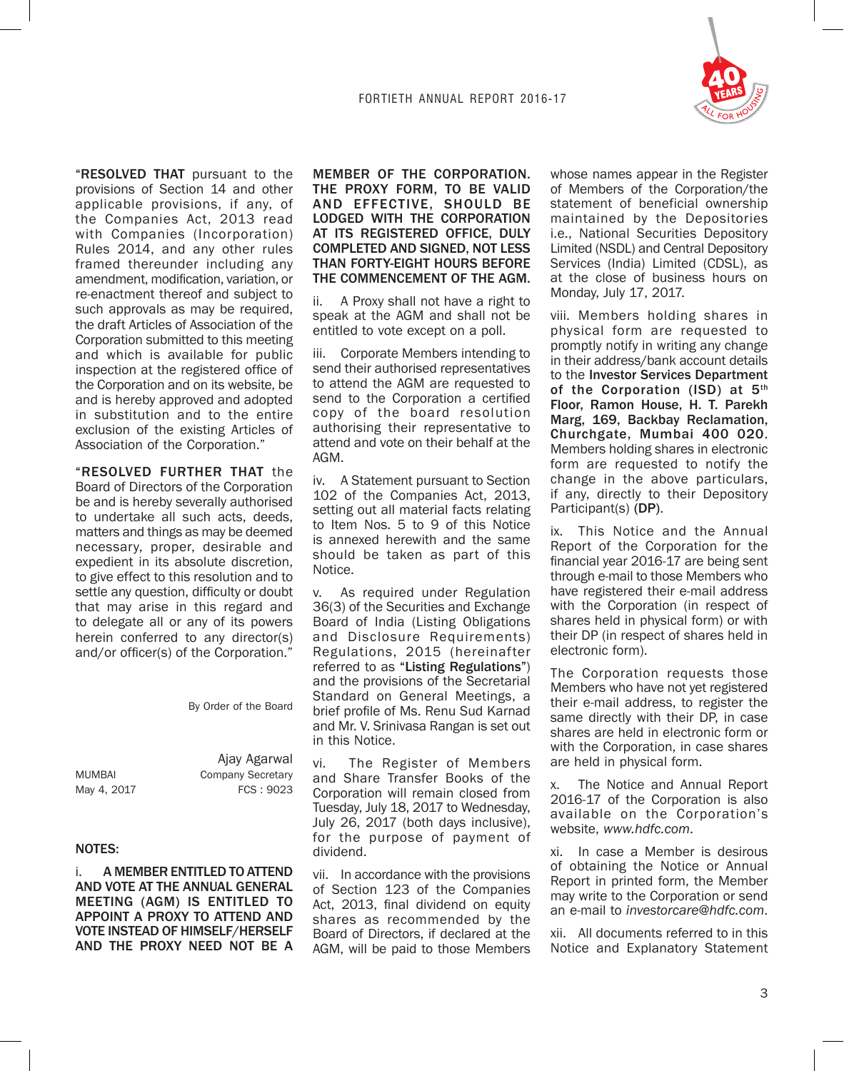

"RESOLVED THAT pursuant to the provisions of Section 14 and other applicable provisions, if any, of the Companies Act, 2013 read with Companies (Incorporation) Rules 2014, and any other rules framed thereunder including any amendment, modification, variation, or re-enactment thereof and subject to such approvals as may be required, the draft Articles of Association of the Corporation submitted to this meeting and which is available for public inspection at the registered office of the Corporation and on its website, be and is hereby approved and adopted in substitution and to the entire exclusion of the existing Articles of Association of the Corporation."

"RESOLVED FURTHER THAT the Board of Directors of the Corporation be and is hereby severally authorised to undertake all such acts, deeds, matters and things as may be deemed necessary, proper, desirable and expedient in its absolute discretion, to give effect to this resolution and to settle any question, difficulty or doubt that may arise in this regard and to delegate all or any of its powers herein conferred to any director(s) and/or officer(s) of the Corporation."

By Order of the Board

|               | Ajay Agarwal      |
|---------------|-------------------|
| <b>MUMBAI</b> | Company Secretary |
| May 4, 2017   | FCS:9023          |

#### NOTES:

i. A MEMBER ENTITLED TO ATTEND AND VOTE AT THE ANNUAL GENERAL MEETING (AGM) IS ENTITLED TO APPOINT A PROXY TO ATTEND AND VOTE INSTEAD OF HIMSELF/HERSELF AND THE PROXY NEED NOT BE A

### MEMBER OF THE CORPORATION. THE PROXY FORM, TO BE VALID AND EFFECTIVE, SHOULD BE LODGED WITH THE CORPORATION AT ITS REGISTERED OFFICE, DULY COMPLETED AND SIGNED, NOT LESS THAN FORTY-EIGHT HOURS BEFORE THE COMMENCEMENT OF THE AGM.

ii. A Proxy shall not have a right to speak at the AGM and shall not be entitled to vote except on a poll.

iii. Corporate Members intending to send their authorised representatives to attend the AGM are requested to send to the Corporation a certified copy of the board resolution authorising their representative to attend and vote on their behalf at the AGM.

iv. A Statement pursuant to Section 102 of the Companies Act, 2013, setting out all material facts relating to Item Nos. 5 to 9 of this Notice is annexed herewith and the same should be taken as part of this Notice.

v. As required under Regulation 36(3) of the Securities and Exchange Board of India (Listing Obligations and Disclosure Requirements) Regulations, 2015 (hereinafter referred to as "Listing Regulations") and the provisions of the Secretarial Standard on General Meetings, a brief profile of Ms. Renu Sud Karnad and Mr. V. Srinivasa Rangan is set out in this Notice.

vi. The Register of Members and Share Transfer Books of the Corporation will remain closed from Tuesday, July 18, 2017 to Wednesday, July 26, 2017 (both days inclusive), for the purpose of payment of dividend.

vii. In accordance with the provisions of Section 123 of the Companies Act. 2013, final dividend on equity shares as recommended by the Board of Directors, if declared at the AGM, will be paid to those Members

whose names appear in the Register of Members of the Corporation/the statement of beneficial ownership maintained by the Depositories i.e., National Securities Depository Limited (NSDL) and Central Depository Services (India) Limited (CDSL), as at the close of business hours on Monday, July 17, 2017.

viii. Members holding shares in physical form are requested to promptly notify in writing any change in their address/bank account details to the Investor Services Department of the Corporation (ISD) at 5<sup>th</sup> Floor, Ramon House, H. T. Parekh Marg, 169, Backbay Reclamation, Churchgate, Mumbai 400 020. Members holding shares in electronic form are requested to notify the change in the above particulars, if any, directly to their Depository Participant(s) (DP).

ix. This Notice and the Annual Report of the Corporation for the financial year 2016-17 are being sent through e-mail to those Members who have registered their e-mail address with the Corporation (in respect of shares held in physical form) or with their DP (in respect of shares held in electronic form).

The Corporation requests those Members who have not yet registered their e-mail address, to register the same directly with their DP, in case shares are held in electronic form or with the Corporation, in case shares are held in physical form.

x. The Notice and Annual Report 2016-17 of the Corporation is also available on the Corporation's website, *www.hdfc.com*.

xi. In case a Member is desirous of obtaining the Notice or Annual Report in printed form, the Member may write to the Corporation or send an e-mail to *investorcare@hdfc.com*.

xii. All documents referred to in this Notice and Explanatory Statement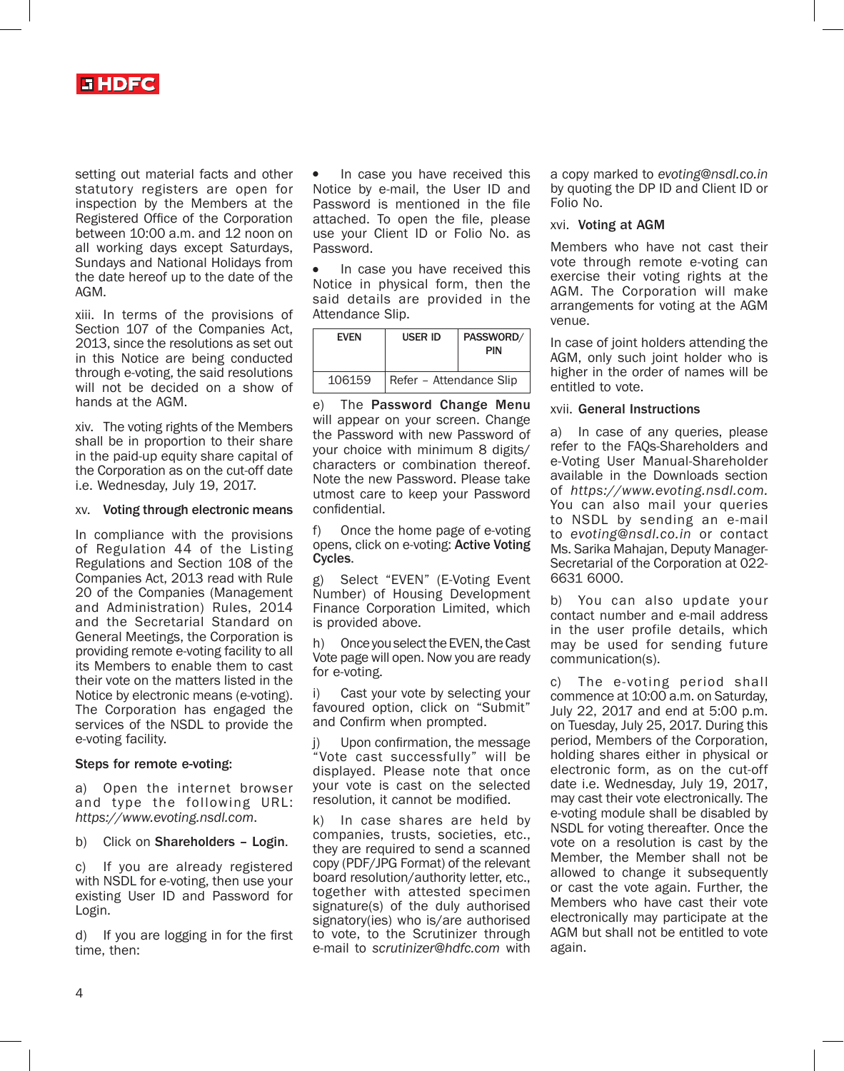

setting out material facts and other statutory registers are open for inspection by the Members at the Registered Office of the Corporation between 10:00 a.m. and 12 noon on all working days except Saturdays, Sundays and National Holidays from the date hereof up to the date of the AGM.

xiii. In terms of the provisions of Section 107 of the Companies Act, 2013, since the resolutions as set out in this Notice are being conducted through e-voting, the said resolutions will not be decided on a show of hands at the AGM.

xiv. The voting rights of the Members shall be in proportion to their share in the paid-up equity share capital of the Corporation as on the cut-off date i.e. Wednesday, July 19, 2017.

#### xv. Voting through electronic means

In compliance with the provisions of Regulation 44 of the Listing Regulations and Section 108 of the Companies Act, 2013 read with Rule 20 of the Companies (Management and Administration) Rules, 2014 and the Secretarial Standard on General Meetings, the Corporation is providing remote e-voting facility to all its Members to enable them to cast their vote on the matters listed in the Notice by electronic means (e-voting). The Corporation has engaged the services of the NSDL to provide the e-voting facility.

#### Steps for remote e-voting:

a) Open the internet browser and type the following URL: *https://www.evoting.nsdl.com*.

b) Click on Shareholders – Login.

c) If you are already registered with NSDL for e-voting, then use your existing User ID and Password for Login.

d) If you are logging in for the first time, then:

In case you have received this Notice by e-mail, the User ID and Password is mentioned in the file attached. To open the file, please use your Client ID or Folio No. as Password.

In case you have received this Notice in physical form, then the said details are provided in the Attendance Slip.

| <b>EVEN</b> | <b>USER ID</b>          | PASSWORD/<br>PIN |
|-------------|-------------------------|------------------|
| 106159      | Refer - Attendance Slip |                  |

e) The Password Change Menu will appear on your screen. Change the Password with new Password of your choice with minimum 8 digits/ characters or combination thereof. Note the new Password. Please take utmost care to keep your Password confidential.

f) Once the home page of e-voting opens, click on e-voting: Active Voting Cycles.

Select "EVEN" (E-Voting Event Number) of Housing Development Finance Corporation Limited, which is provided above.

h) Once you select the EVEN, the Cast Vote page will open. Now you are ready for e-voting.

i) Cast your vote by selecting your favoured option, click on "Submit" and Confirm when prompted.

Upon confirmation, the message "Vote cast successfully" will be displayed. Please note that once your vote is cast on the selected resolution, it cannot be modified.

k) In case shares are held by companies, trusts, societies, etc., they are required to send a scanned copy (PDF/JPG Format) of the relevant board resolution/authority letter, etc., together with attested specimen signature(s) of the duly authorised signatory(ies) who is/are authorised to vote, to the Scrutinizer through e-mail to *scrutinizer@hdfc.com* with

a copy marked to *evoting@nsdl.co.in* by quoting the DP ID and Client ID or Folio No.

#### xvi. Voting at AGM

Members who have not cast their vote through remote e-voting can exercise their voting rights at the AGM. The Corporation will make arrangements for voting at the AGM venue.

In case of joint holders attending the AGM, only such joint holder who is higher in the order of names will be entitled to vote.

#### xvii. General Instructions

a) In case of any queries, please refer to the FAQs-Shareholders and e-Voting User Manual-Shareholder available in the Downloads section of *https://www.evoting.nsdl.com.* You can also mail your queries to NSDL by sending an e-mail to *evoting@nsdl.co.in* or contact Ms. Sarika Mahajan, Deputy Manager-Secretarial of the Corporation at 022- 6631 6000.

b) You can also update your contact number and e-mail address in the user profile details, which may be used for sending future communication(s).

c) The e-voting period shall commence at 10:00 a.m. on Saturday, July 22, 2017 and end at 5:00 p.m. on Tuesday, July 25, 2017. During this period, Members of the Corporation, holding shares either in physical or electronic form, as on the cut-off date i.e. Wednesday, July 19, 2017, may cast their vote electronically. The e-voting module shall be disabled by NSDL for voting thereafter. Once the vote on a resolution is cast by the Member, the Member shall not be allowed to change it subsequently or cast the vote again. Further, the Members who have cast their vote electronically may participate at the AGM but shall not be entitled to vote again.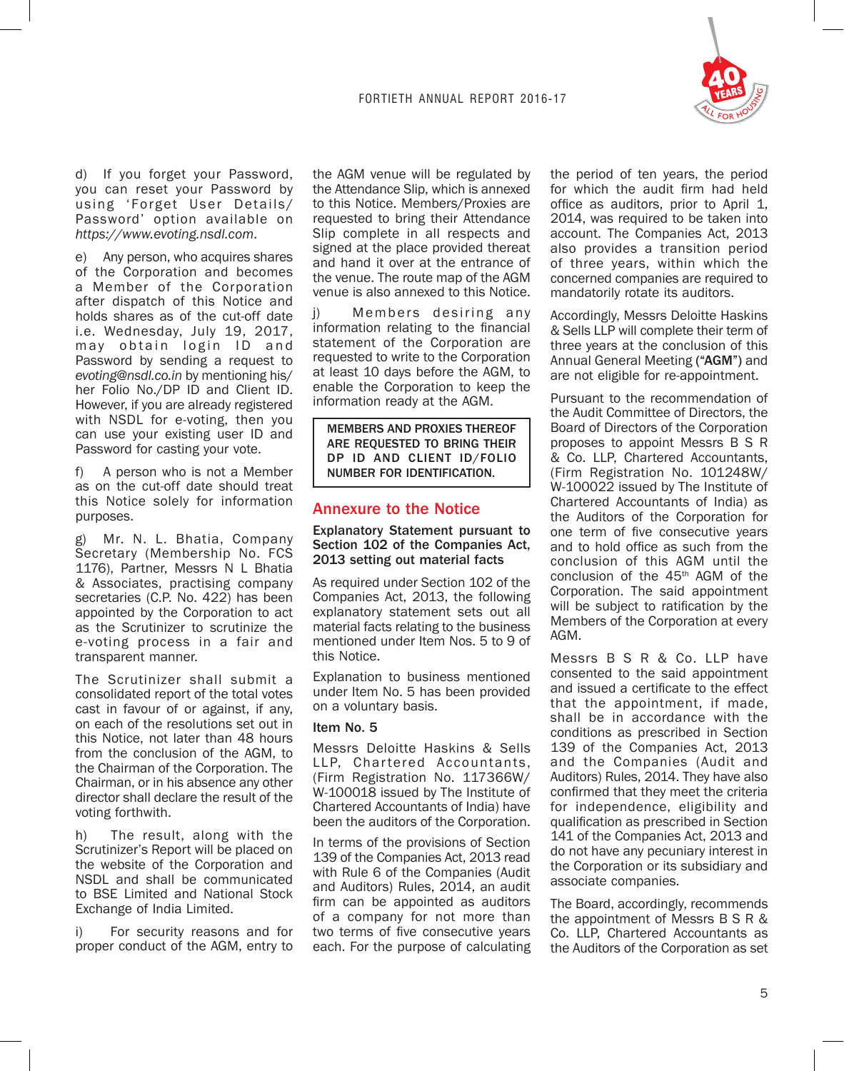

d) If you forget your Password, you can reset your Password by using 'Forget User Details/ Password' option available on *https://www.evoting.nsdl.com*.

Any person, who acquires shares of the Corporation and becomes a Member of the Corporation after dispatch of this Notice and holds shares as of the cut-off date i.e. Wednesday, July 19, 2017, may obtain login ID and Password by sending a request to *evoting@nsdl.co.in* by mentioning his/ her Folio No./DP ID and Client ID. However, if you are already registered with NSDL for e-voting, then you can use your existing user ID and Password for casting your vote.

f) A person who is not a Member as on the cut-off date should treat this Notice solely for information purposes.

g) Mr. N. L. Bhatia, Company Secretary (Membership No. FCS 1176), Partner, Messrs N L Bhatia & Associates, practising company secretaries (C.P. No. 422) has been appointed by the Corporation to act as the Scrutinizer to scrutinize the e-voting process in a fair and transparent manner.

The Scrutinizer shall submit a consolidated report of the total votes cast in favour of or against, if any, on each of the resolutions set out in this Notice, not later than 48 hours from the conclusion of the AGM, to the Chairman of the Corporation. The Chairman, or in his absence any other director shall declare the result of the voting forthwith.

h) The result, along with the Scrutinizer's Report will be placed on the website of the Corporation and NSDL and shall be communicated to BSE Limited and National Stock Exchange of India Limited.

i) For security reasons and for proper conduct of the AGM, entry to

the AGM venue will be regulated by the Attendance Slip, which is annexed to this Notice. Members/Proxies are requested to bring their Attendance Slip complete in all respects and signed at the place provided thereat and hand it over at the entrance of the venue. The route map of the AGM venue is also annexed to this Notice.

j) Members desiring any information relating to the financial statement of the Corporation are requested to write to the Corporation at least 10 days before the AGM, to enable the Corporation to keep the information ready at the AGM.

MEMBERS AND PROXIES THEREOF ARE REQUESTED TO BRING THEIR DP ID AND CLIENT ID/FOLIO NUMBER FOR IDENTIFICATION.

# Annexure to the Notice

Explanatory Statement pursuant to Section 102 of the Companies Act, 2013 setting out material facts

As required under Section 102 of the Companies Act, 2013, the following explanatory statement sets out all material facts relating to the business mentioned under Item Nos. 5 to 9 of this Notice.

Explanation to business mentioned under Item No. 5 has been provided on a voluntary basis.

### Item No. 5

Messrs Deloitte Haskins & Sells LLP, Chartered Accountants, (Firm Registration No. 117366W/ W-100018 issued by The Institute of Chartered Accountants of India) have been the auditors of the Corporation.

In terms of the provisions of Section 139 of the Companies Act, 2013 read with Rule 6 of the Companies (Audit and Auditors) Rules, 2014, an audit firm can be appointed as auditors of a company for not more than two terms of five consecutive years each. For the purpose of calculating

the period of ten years, the period for which the audit firm had held office as auditors, prior to April 1, 2014, was required to be taken into account. The Companies Act, 2013 also provides a transition period of three years, within which the concerned companies are required to mandatorily rotate its auditors.

Accordingly, Messrs Deloitte Haskins & Sells LLP will complete their term of three years at the conclusion of this Annual General Meeting ("AGM") and are not eligible for re-appointment.

Pursuant to the recommendation of the Audit Committee of Directors, the Board of Directors of the Corporation proposes to appoint Messrs B S R & Co. LLP, Chartered Accountants, (Firm Registration No. 101248W/ W-100022 issued by The Institute of Chartered Accountants of India) as the Auditors of the Corporation for one term of five consecutive years and to hold office as such from the conclusion of this AGM until the conclusion of the 45<sup>th</sup> AGM of the Corporation. The said appointment will be subject to ratification by the Members of the Corporation at every AGM.

Messrs B S R & Co. LLP have consented to the said appointment and issued a certificate to the effect that the appointment, if made, shall be in accordance with the conditions as prescribed in Section 139 of the Companies Act, 2013 and the Companies (Audit and Auditors) Rules, 2014. They have also confirmed that they meet the criteria for independence, eligibility and qualification as prescribed in Section 141 of the Companies Act, 2013 and do not have any pecuniary interest in the Corporation or its subsidiary and associate companies.

The Board, accordingly, recommends the appointment of Messrs B S R & Co. LLP, Chartered Accountants as the Auditors of the Corporation as set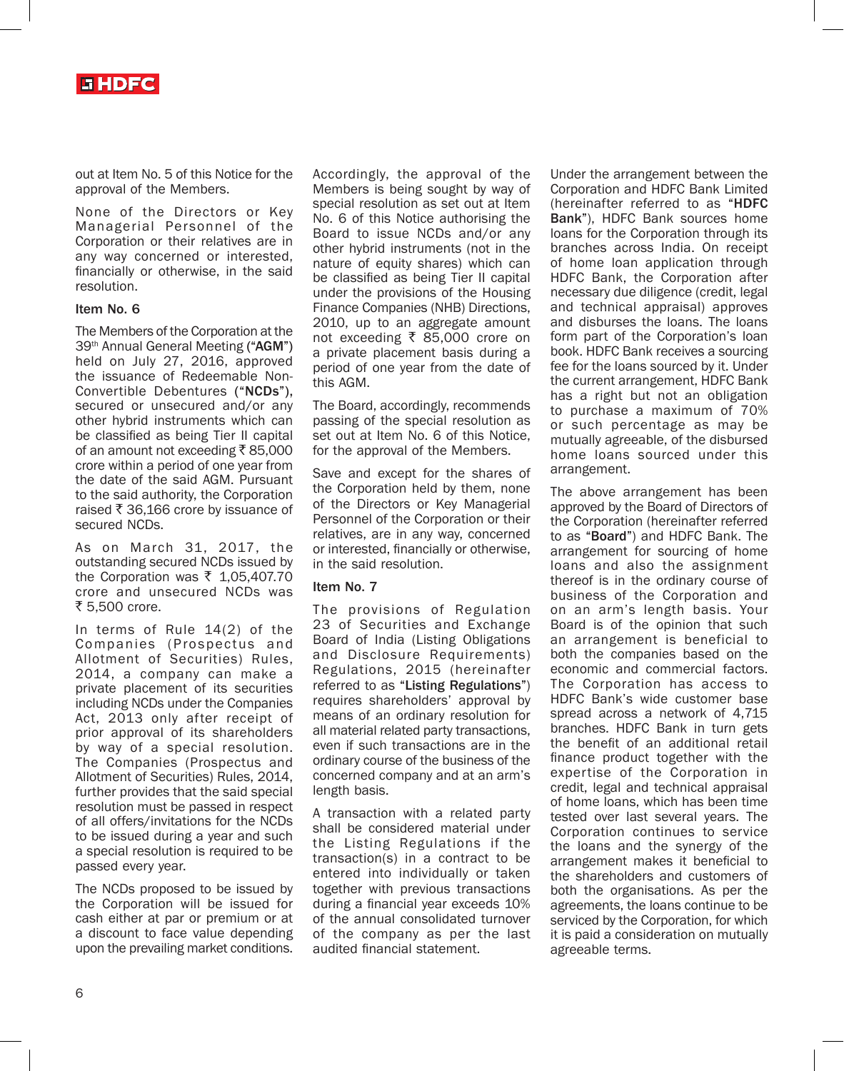

out at Item No. 5 of this Notice for the approval of the Members.

None of the Directors or Key Managerial Personnel of the Corporation or their relatives are in any way concerned or interested, financially or otherwise, in the said resolution.

#### Item No. 6

The Members of the Corporation at the 39th Annual General Meeting ("AGM") held on July 27, 2016, approved the issuance of Redeemable Non-Convertible Debentures ("NCDs"), secured or unsecured and/or any other hybrid instruments which can be classified as being Tier II capital of an amount not exceeding  $\bar{\tau}$  85,000 crore within a period of one year from the date of the said AGM. Pursuant to the said authority, the Corporation raised  $\bar{\tau}$  36,166 crore by issuance of secured NCDs.

As on March 31, 2017, the outstanding secured NCDs issued by the Corporation was  $\bar{\tau}$  1,05,407.70 crore and unsecured NCDs was ₹ 5.500 crore.

In terms of Rule 14(2) of the Companies (Prospectus and Allotment of Securities) Rules, 2014, a company can make a private placement of its securities including NCDs under the Companies Act, 2013 only after receipt of prior approval of its shareholders by way of a special resolution. The Companies (Prospectus and Allotment of Securities) Rules, 2014, further provides that the said special resolution must be passed in respect of all offers/invitations for the NCDs to be issued during a year and such a special resolution is required to be passed every year.

The NCDs proposed to be issued by the Corporation will be issued for cash either at par or premium or at a discount to face value depending upon the prevailing market conditions.

Accordingly, the approval of the Members is being sought by way of special resolution as set out at Item No. 6 of this Notice authorising the Board to issue NCDs and/or any other hybrid instruments (not in the nature of equity shares) which can be classified as being Tier II capital under the provisions of the Housing Finance Companies (NHB) Directions, 2010, up to an aggregate amount not exceeding  $\bar{x}$  85,000 crore on a private placement basis during a period of one year from the date of this AGM.

The Board, accordingly, recommends passing of the special resolution as set out at Item No. 6 of this Notice, for the approval of the Members.

Save and except for the shares of the Corporation held by them, none of the Directors or Key Managerial Personnel of the Corporation or their relatives, are in any way, concerned or interested, financially or otherwise, in the said resolution.

#### Item No. 7

The provisions of Regulation 23 of Securities and Exchange Board of India (Listing Obligations and Disclosure Requirements) Regulations, 2015 (hereinafter referred to as "Listing Regulations") requires shareholders' approval by means of an ordinary resolution for all material related party transactions, even if such transactions are in the ordinary course of the business of the concerned company and at an arm's length basis.

A transaction with a related party shall be considered material under the Listing Regulations if the transaction(s) in a contract to be entered into individually or taken together with previous transactions during a financial year exceeds 10% of the annual consolidated turnover of the company as per the last audited financial statement.

Under the arrangement between the Corporation and HDFC Bank Limited (hereinafter referred to as "HDFC Bank"), HDFC Bank sources home loans for the Corporation through its branches across India. On receipt of home loan application through HDFC Bank, the Corporation after necessary due diligence (credit, legal and technical appraisal) approves and disburses the loans. The loans form part of the Corporation's loan book. HDFC Bank receives a sourcing fee for the loans sourced by it. Under the current arrangement, HDFC Bank has a right but not an obligation to purchase a maximum of 70% or such percentage as may be mutually agreeable, of the disbursed home loans sourced under this arrangement.

The above arrangement has been approved by the Board of Directors of the Corporation (hereinafter referred to as "Board") and HDFC Bank. The arrangement for sourcing of home loans and also the assignment thereof is in the ordinary course of business of the Corporation and on an arm's length basis. Your Board is of the opinion that such an arrangement is beneficial to both the companies based on the economic and commercial factors. The Corporation has access to HDFC Bank's wide customer base spread across a network of 4,715 branches. HDFC Bank in turn gets the benefit of an additional retail finance product together with the expertise of the Corporation in credit, legal and technical appraisal of home loans, which has been time tested over last several years. The Corporation continues to service the loans and the synergy of the arrangement makes it beneficial to the shareholders and customers of both the organisations. As per the agreements, the loans continue to be serviced by the Corporation, for which it is paid a consideration on mutually agreeable terms.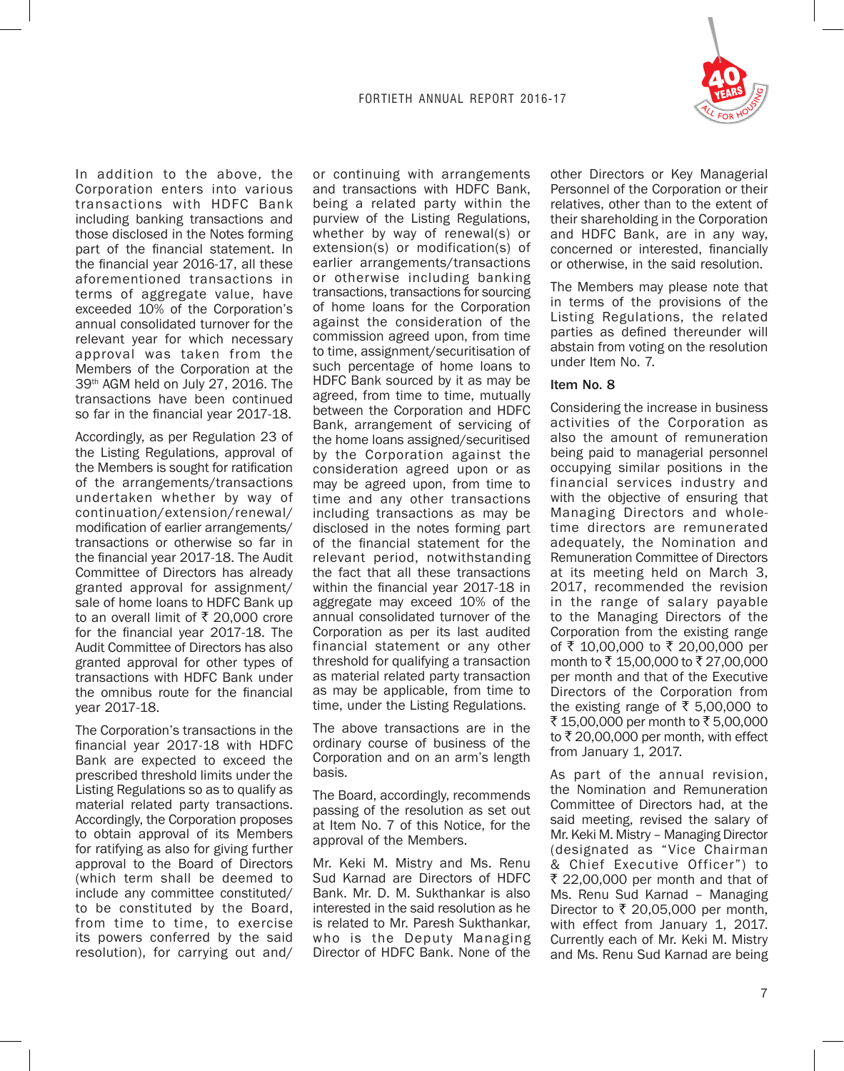

In addition to the above, the Corporation enters into various transactions with HDFC Bank including banking transactions and those disclosed in the Notes forming part of the financial statement. In the financial year 2016-17, all these aforementioned transactions in terms of aggregate value, have exceeded 10% of the Corporation's annual consolidated turnover for the relevant year for which necessary approval was taken from the Members of the Corporation at the 39th AGM held on July 27, 2016. The transactions have been continued so far in the financial year 2017-18.

Accordingly, as per Regulation 23 of the Listing Regulations, approval of the Members is sought for ratification of the arrangements/transactions undertaken whether by way of continuation/extension/renewal/ modification of earlier arrangements/ transactions or otherwise so far in the financial year 2017-18. The Audit Committee of Directors has already granted approval for assignment/ sale of home loans to HDFC Bank up to an overall limit of  $\bar{\tau}$  20,000 crore for the financial year 2017-18. The Audit Committee of Directors has also granted approval for other types of transactions with HDFC Bank under the omnibus route for the financial year 2017-18.

The Corporation's transactions in the financial year 2017-18 with HDFC Bank are expected to exceed the prescribed threshold limits under the Listing Regulations so as to qualify as material related party transactions. Accordingly, the Corporation proposes to obtain approval of its Members for ratifying as also for giving further approval to the Board of Directors (which term shall be deemed to include any committee constituted/ to be constituted by the Board, from time to time, to exercise its powers conferred by the said resolution), for carrying out and/

or continuing with arrangements and transactions with HDFC Bank, being a related party within the purview of the Listing Regulations, whether by way of renewal(s) or extension(s) or modification(s) of earlier arrangements/transactions or otherwise including banking transactions, transactions for sourcing of home loans for the Corporation against the consideration of the commission agreed upon, from time to time, assignment/securitisation of such percentage of home loans to HDFC Bank sourced by it as may be agreed, from time to time, mutually between the Corporation and HDFC Bank, arrangement of servicing of the home loans assigned/securitised by the Corporation against the consideration agreed upon or as may be agreed upon, from time to time and any other transactions including transactions as may be disclosed in the notes forming part of the financial statement for the relevant period, notwithstanding the fact that all these transactions within the financial year 2017-18 in aggregate may exceed 10% of the annual consolidated turnover of the Corporation as per its last audited financial statement or any other threshold for qualifying a transaction as material related party transaction as may be applicable, from time to time, under the Listing Regulations.

The above transactions are in the ordinary course of business of the Corporation and on an arm's length basis.

The Board, accordingly, recommends passing of the resolution as set out at Item No. 7 of this Notice, for the approval of the Members.

Mr. Keki M. Mistry and Ms. Renu Sud Karnad are Directors of HDFC Bank. Mr. D. M. Sukthankar is also interested in the said resolution as he is related to Mr. Paresh Sukthankar, who is the Deputy Managing Director of HDFC Bank. None of the other Directors or Key Managerial Personnel of the Corporation or their relatives, other than to the extent of their shareholding in the Corporation and HDFC Bank, are in any way, concerned or interested, financially or otherwise, in the said resolution.

The Members may please note that in terms of the provisions of the Listing Regulations, the related parties as defined thereunder will abstain from voting on the resolution under Item No. 7.

### Item No. 8

Considering the increase in business activities of the Corporation as also the amount of remuneration being paid to managerial personnel occupying similar positions in the financial services industry and with the objective of ensuring that Managing Directors and wholetime directors are remunerated adequately, the Nomination and Remuneration Committee of Directors at its meeting held on March 3, 2017, recommended the revision in the range of salary payable to the Managing Directors of the Corporation from the existing range of ₹ 10,00,000 to ₹ 20,00,000 per month to ₹15,00,000 to ₹27,00,000 per month and that of the Executive Directors of the Corporation from the existing range of  $\overline{\xi}$  5,00,000 to ₹ 15,00,000 per month to ₹ 5,00,000 to  $\bar{\tau}$  20,00,000 per month, with effect from January 1, 2017.

As part of the annual revision, the Nomination and Remuneration Committee of Directors had, at the said meeting, revised the salary of Mr. Keki M. Mistry – Managing Director (designated as "Vice Chairman & Chief Executive Officer") to ₹ 22,00,000 per month and that of Ms. Renu Sud Karnad – Managing Director to  $\bar{\tau}$  20,05,000 per month, with effect from January 1, 2017. Currently each of Mr. Keki M. Mistry and Ms. Renu Sud Karnad are being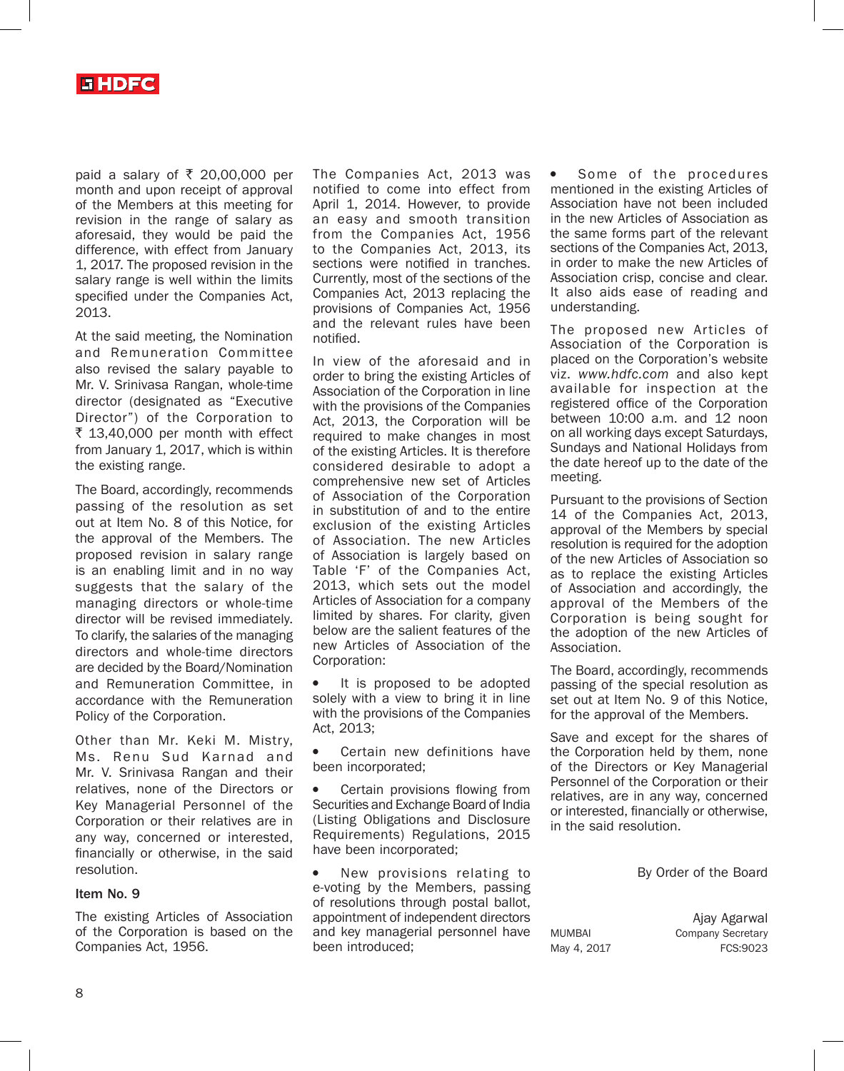

paid a salary of  $\overline{\xi}$  20,00,000 per month and upon receipt of approval of the Members at this meeting for revision in the range of salary as aforesaid, they would be paid the difference, with effect from January 1, 2017. The proposed revision in the salary range is well within the limits specified under the Companies Act, 2013.

At the said meeting, the Nomination and Remuneration Committee also revised the salary payable to Mr. V. Srinivasa Rangan, whole-time director (designated as "Executive Director") of the Corporation to  $\bar{\tau}$  13,40,000 per month with effect from January 1, 2017, which is within the existing range.

The Board, accordingly, recommends passing of the resolution as set out at Item No. 8 of this Notice, for the approval of the Members. The proposed revision in salary range is an enabling limit and in no way suggests that the salary of the managing directors or whole-time director will be revised immediately. To clarify, the salaries of the managing directors and whole-time directors are decided by the Board/Nomination and Remuneration Committee, in accordance with the Remuneration Policy of the Corporation.

Other than Mr. Keki M. Mistry, Ms. Renu Sud Karnad and Mr. V. Srinivasa Rangan and their relatives, none of the Directors or Key Managerial Personnel of the Corporation or their relatives are in any way, concerned or interested, financially or otherwise, in the said resolution.

#### Item No. 9

The existing Articles of Association of the Corporation is based on the Companies Act, 1956.

The Companies Act, 2013 was notified to come into effect from April 1, 2014. However, to provide an easy and smooth transition from the Companies Act, 1956 to the Companies Act, 2013, its sections were notified in tranches. Currently, most of the sections of the Companies Act, 2013 replacing the provisions of Companies Act, 1956 and the relevant rules have been notified.

In view of the aforesaid and in order to bring the existing Articles of Association of the Corporation in line with the provisions of the Companies Act, 2013, the Corporation will be required to make changes in most of the existing Articles. It is therefore considered desirable to adopt a comprehensive new set of Articles of Association of the Corporation in substitution of and to the entire exclusion of the existing Articles of Association. The new Articles of Association is largely based on Table 'F' of the Companies Act, 2013, which sets out the model Articles of Association for a company limited by shares. For clarity, given below are the salient features of the new Articles of Association of the Corporation:

It is proposed to be adopted solely with a view to bring it in line with the provisions of the Companies Act, 2013;

Certain new definitions have been incorporated;

• Certain provisions flowing from Securities and Exchange Board of India (Listing Obligations and Disclosure Requirements) Regulations, 2015 have been incorporated;

New provisions relating to e-voting by the Members, passing of resolutions through postal ballot, appointment of independent directors and key managerial personnel have been introduced;

Some of the procedures mentioned in the existing Articles of Association have not been included in the new Articles of Association as the same forms part of the relevant sections of the Companies Act, 2013, in order to make the new Articles of Association crisp, concise and clear. It also aids ease of reading and understanding.

The proposed new Articles of Association of the Corporation is placed on the Corporation's website viz. *www.hdfc.com* and also kept available for inspection at the registered office of the Corporation between 10:00 a.m. and 12 noon on all working days except Saturdays, Sundays and National Holidays from the date hereof up to the date of the meeting.

Pursuant to the provisions of Section 14 of the Companies Act, 2013, approval of the Members by special resolution is required for the adoption of the new Articles of Association so as to replace the existing Articles of Association and accordingly, the approval of the Members of the Corporation is being sought for the adoption of the new Articles of Association.

The Board, accordingly, recommends passing of the special resolution as set out at Item No. 9 of this Notice, for the approval of the Members.

Save and except for the shares of the Corporation held by them, none of the Directors or Key Managerial Personnel of the Corporation or their relatives, are in any way, concerned or interested, financially or otherwise, in the said resolution.

By Order of the Board

Ajay Agarwal MUMBAI Company Secretary May 4, 2017 FCS:9023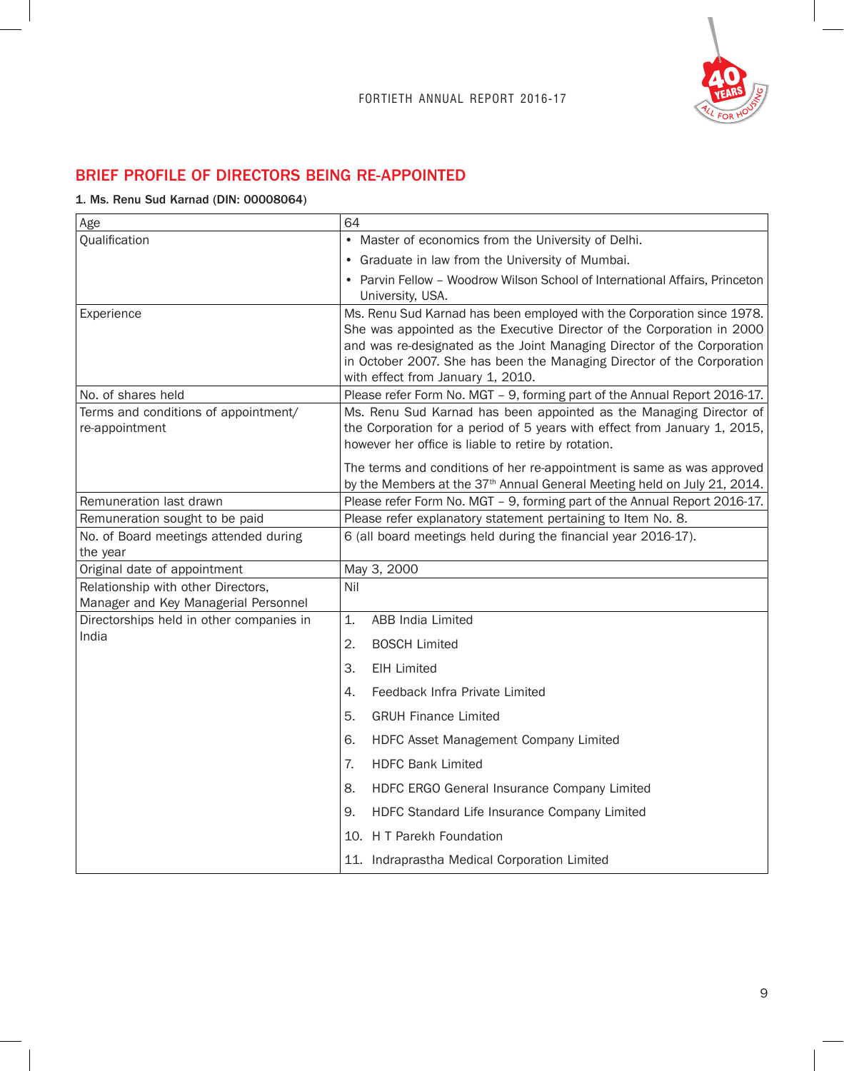

# BRIEF PROFILE OF DIRECTORS BEING RE-APPOINTED

## 1. Ms. Renu Sud Karnad (DIN: 00008064)

| Age                                                                        | 64                                                                                                                                                             |  |  |  |
|----------------------------------------------------------------------------|----------------------------------------------------------------------------------------------------------------------------------------------------------------|--|--|--|
| Qualification                                                              | Master of economics from the University of Delhi.                                                                                                              |  |  |  |
|                                                                            | Graduate in law from the University of Mumbai.                                                                                                                 |  |  |  |
|                                                                            | Parvin Fellow - Woodrow Wilson School of International Affairs, Princeton                                                                                      |  |  |  |
|                                                                            | University, USA.                                                                                                                                               |  |  |  |
| Experience                                                                 | Ms. Renu Sud Karnad has been employed with the Corporation since 1978.                                                                                         |  |  |  |
|                                                                            | She was appointed as the Executive Director of the Corporation in 2000<br>and was re-designated as the Joint Managing Director of the Corporation              |  |  |  |
|                                                                            | in October 2007. She has been the Managing Director of the Corporation                                                                                         |  |  |  |
|                                                                            | with effect from January 1, 2010.                                                                                                                              |  |  |  |
| No. of shares held                                                         | Please refer Form No. MGT - 9, forming part of the Annual Report 2016-17.                                                                                      |  |  |  |
| Terms and conditions of appointment/                                       | Ms. Renu Sud Karnad has been appointed as the Managing Director of                                                                                             |  |  |  |
| re-appointment                                                             | the Corporation for a period of 5 years with effect from January 1, 2015,<br>however her office is liable to retire by rotation.                               |  |  |  |
|                                                                            |                                                                                                                                                                |  |  |  |
|                                                                            | The terms and conditions of her re-appointment is same as was approved<br>by the Members at the 37 <sup>th</sup> Annual General Meeting held on July 21, 2014. |  |  |  |
| Remuneration last drawn                                                    | Please refer Form No. MGT - 9, forming part of the Annual Report 2016-17.                                                                                      |  |  |  |
| Remuneration sought to be paid                                             | Please refer explanatory statement pertaining to Item No. 8.                                                                                                   |  |  |  |
| No. of Board meetings attended during                                      | 6 (all board meetings held during the financial year 2016-17).                                                                                                 |  |  |  |
| the year                                                                   |                                                                                                                                                                |  |  |  |
| Original date of appointment                                               | May 3, 2000                                                                                                                                                    |  |  |  |
| Relationship with other Directors,<br>Manager and Key Managerial Personnel | Nil                                                                                                                                                            |  |  |  |
| Directorships held in other companies in                                   | 1.<br>ABB India Limited                                                                                                                                        |  |  |  |
| India                                                                      | 2.<br><b>BOSCH Limited</b>                                                                                                                                     |  |  |  |
|                                                                            |                                                                                                                                                                |  |  |  |
|                                                                            | З.<br><b>EIH Limited</b>                                                                                                                                       |  |  |  |
|                                                                            | Feedback Infra Private Limited<br>4.                                                                                                                           |  |  |  |
|                                                                            | 5.<br><b>GRUH Finance Limited</b>                                                                                                                              |  |  |  |
|                                                                            | HDFC Asset Management Company Limited<br>6.                                                                                                                    |  |  |  |
|                                                                            | <b>HDFC Bank Limited</b><br>7.                                                                                                                                 |  |  |  |
|                                                                            | 8.<br>HDFC ERGO General Insurance Company Limited                                                                                                              |  |  |  |
|                                                                            | HDFC Standard Life Insurance Company Limited<br>9.                                                                                                             |  |  |  |
|                                                                            | 10. H T Parekh Foundation                                                                                                                                      |  |  |  |
|                                                                            | 11. Indraprastha Medical Corporation Limited                                                                                                                   |  |  |  |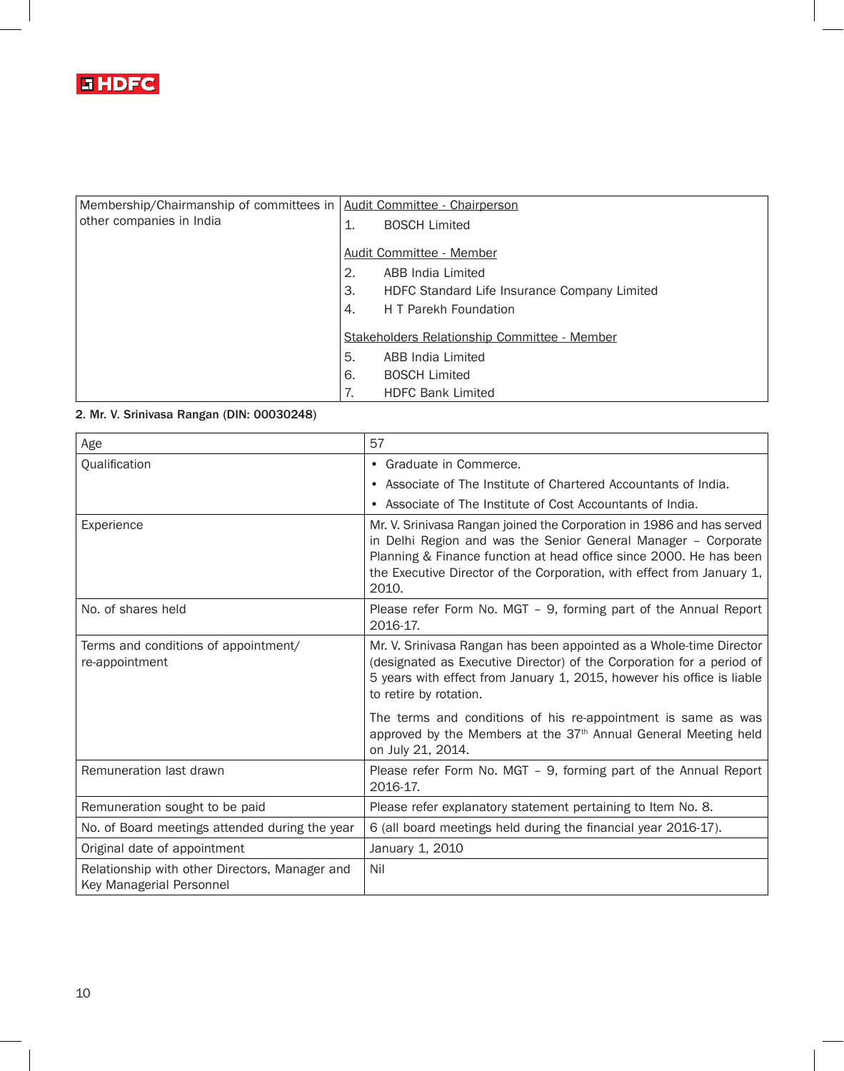

| Membership/Chairmanship of committees in   Audit Committee - Chairperson |    |                                              |  |  |
|--------------------------------------------------------------------------|----|----------------------------------------------|--|--|
|                                                                          |    |                                              |  |  |
| other companies in India                                                 | 1. | <b>BOSCH Limited</b>                         |  |  |
|                                                                          |    |                                              |  |  |
|                                                                          |    | Audit Committee - Member                     |  |  |
|                                                                          | 2. | ABB India Limited                            |  |  |
|                                                                          | 3. | HDFC Standard Life Insurance Company Limited |  |  |
|                                                                          | 4. | H T Parekh Foundation                        |  |  |
|                                                                          |    | Stakeholders Relationship Committee - Member |  |  |
|                                                                          | 5. | ABB India Limited                            |  |  |
|                                                                          | 6. | <b>BOSCH Limited</b>                         |  |  |
|                                                                          | 7. | <b>HDFC Bank Limited</b>                     |  |  |

# 2. Mr. V. Srinivasa Rangan (DIN: 00030248)

| Age                                                                        | 57                                                                                                                                                                                                                                                                                               |
|----------------------------------------------------------------------------|--------------------------------------------------------------------------------------------------------------------------------------------------------------------------------------------------------------------------------------------------------------------------------------------------|
| Qualification                                                              | • Graduate in Commerce.                                                                                                                                                                                                                                                                          |
|                                                                            | • Associate of The Institute of Chartered Accountants of India.                                                                                                                                                                                                                                  |
|                                                                            | • Associate of The Institute of Cost Accountants of India.                                                                                                                                                                                                                                       |
| Experience                                                                 | Mr. V. Srinivasa Rangan joined the Corporation in 1986 and has served<br>in Delhi Region and was the Senior General Manager - Corporate<br>Planning & Finance function at head office since 2000. He has been<br>the Executive Director of the Corporation, with effect from January 1,<br>2010. |
| No. of shares held                                                         | Please refer Form No. MGT - 9, forming part of the Annual Report<br>2016-17.                                                                                                                                                                                                                     |
| Terms and conditions of appointment/<br>re-appointment                     | Mr. V. Srinivasa Rangan has been appointed as a Whole-time Director<br>(designated as Executive Director) of the Corporation for a period of<br>5 years with effect from January 1, 2015, however his office is liable<br>to retire by rotation.                                                 |
|                                                                            | The terms and conditions of his re-appointment is same as was<br>approved by the Members at the 37 <sup>th</sup> Annual General Meeting held<br>on July 21, 2014.                                                                                                                                |
| Remuneration last drawn                                                    | Please refer Form No. MGT - 9, forming part of the Annual Report<br>2016-17.                                                                                                                                                                                                                     |
| Remuneration sought to be paid                                             | Please refer explanatory statement pertaining to Item No. 8.                                                                                                                                                                                                                                     |
| No. of Board meetings attended during the year                             | 6 (all board meetings held during the financial year 2016-17).                                                                                                                                                                                                                                   |
| Original date of appointment                                               | January 1, 2010                                                                                                                                                                                                                                                                                  |
| Relationship with other Directors, Manager and<br>Key Managerial Personnel | Nil                                                                                                                                                                                                                                                                                              |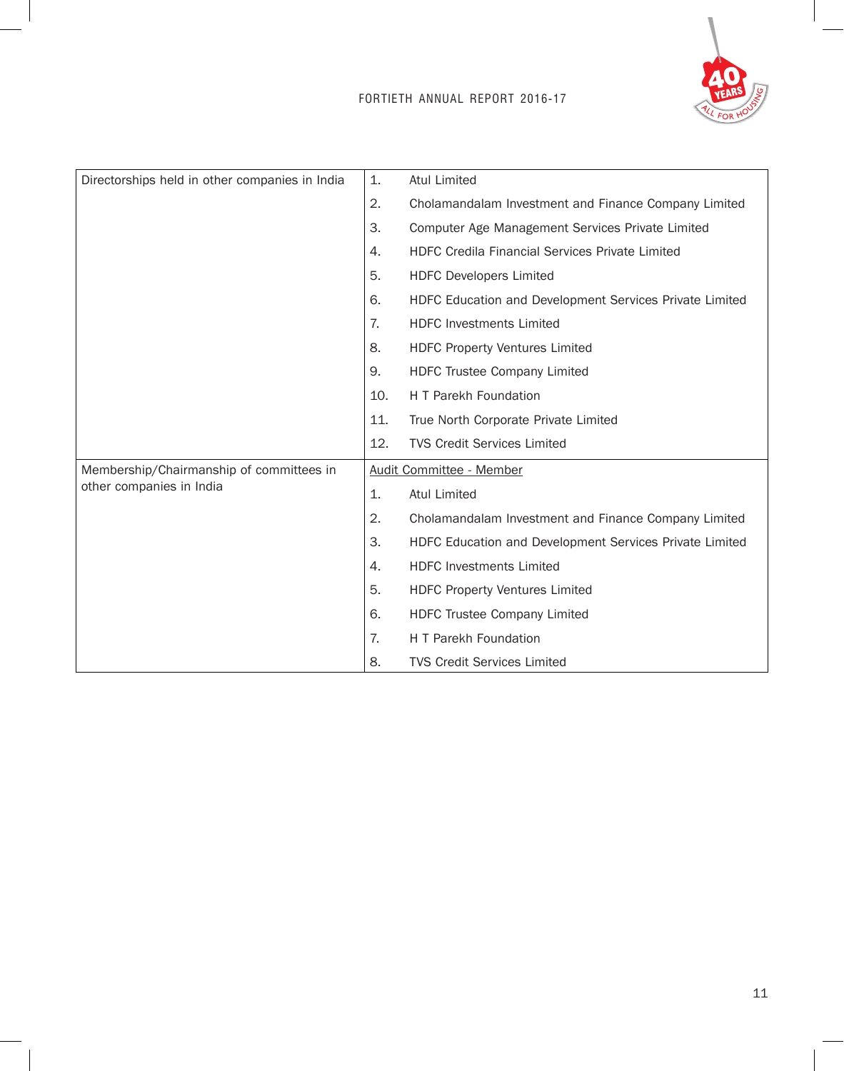# FORTIETH ANNUAL REPORT 2016-17



| Directorships held in other companies in India                       |     | Atul Limited                                            |
|----------------------------------------------------------------------|-----|---------------------------------------------------------|
|                                                                      |     | Cholamandalam Investment and Finance Company Limited    |
|                                                                      | З.  | Computer Age Management Services Private Limited        |
|                                                                      | 4.  | HDFC Credila Financial Services Private Limited         |
|                                                                      | 5.  | <b>HDFC Developers Limited</b>                          |
|                                                                      | 6.  | HDFC Education and Development Services Private Limited |
|                                                                      | 7.  | <b>HDFC Investments Limited</b>                         |
|                                                                      | 8.  | <b>HDFC Property Ventures Limited</b>                   |
|                                                                      | 9.  | HDFC Trustee Company Limited                            |
|                                                                      | 10. | H T Parekh Foundation                                   |
|                                                                      | 11. | True North Corporate Private Limited                    |
|                                                                      | 12. | <b>TVS Credit Services Limited</b>                      |
| Membership/Chairmanship of committees in<br>other companies in India |     | Audit Committee - Member                                |
|                                                                      | 1.  | <b>Atul Limited</b>                                     |
|                                                                      | 2.  | Cholamandalam Investment and Finance Company Limited    |
|                                                                      | 3.  | HDFC Education and Development Services Private Limited |
|                                                                      | 4.  | <b>HDFC Investments Limited</b>                         |
|                                                                      | 5.  | <b>HDFC Property Ventures Limited</b>                   |
|                                                                      | 6.  | HDFC Trustee Company Limited                            |
|                                                                      | 7.  | H T Parekh Foundation                                   |
|                                                                      | 8.  | <b>TVS Credit Services Limited</b>                      |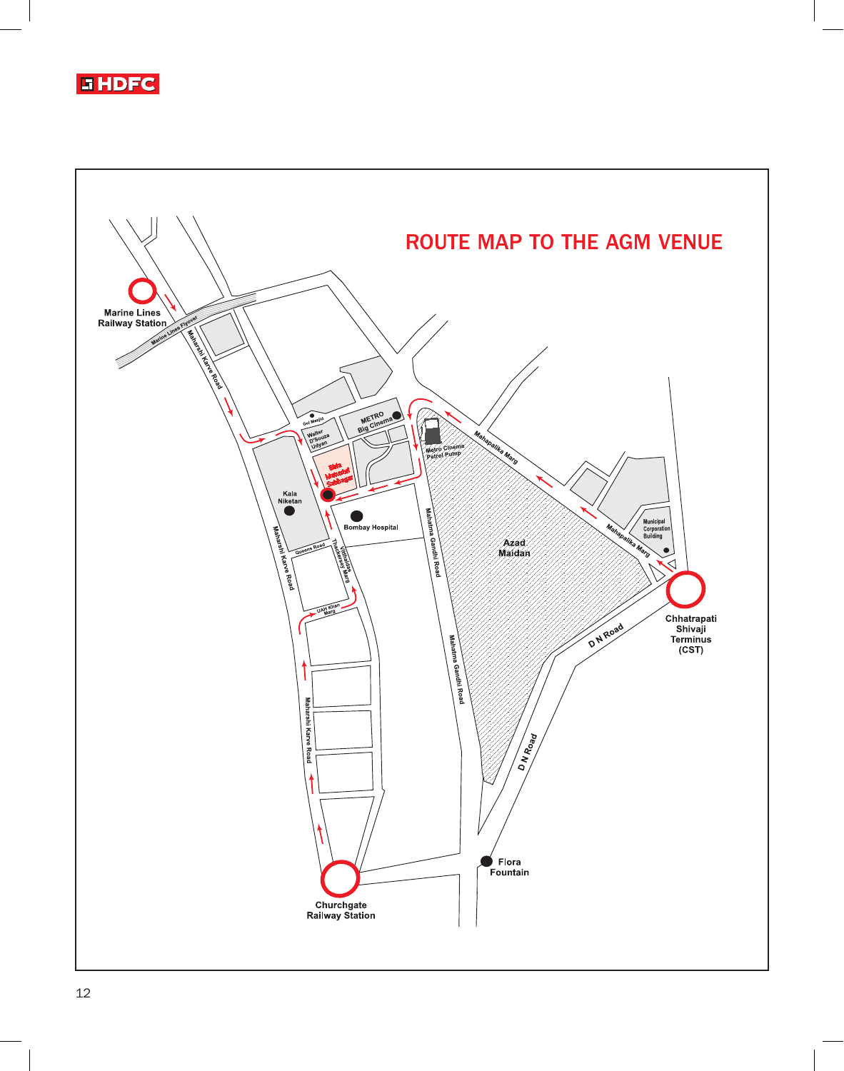

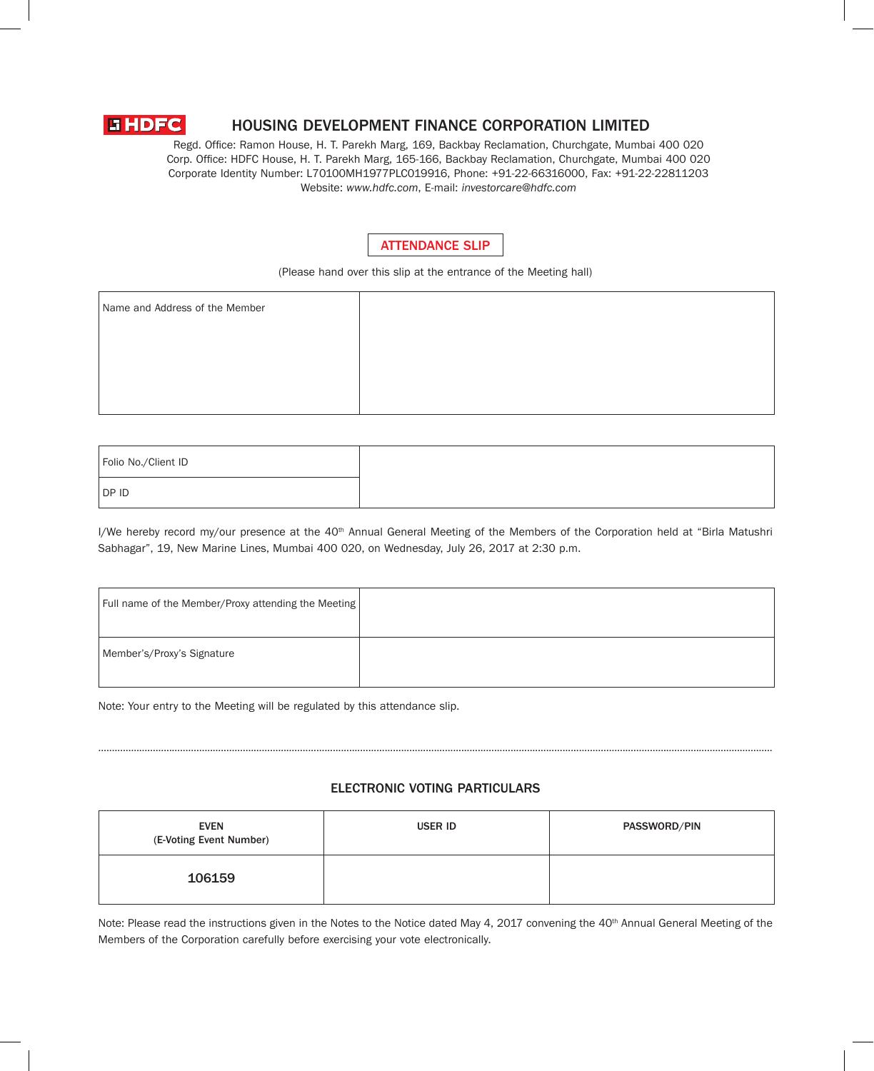

# HOUSING DEVELOPMENT FINANCE CORPORATION LIMITED

Regd. Office: Ramon House, H. T. Parekh Marg, 169, Backbay Reclamation, Churchgate, Mumbai 400 020 Corp. Office: HDFC House, H. T. Parekh Marg, 165-166, Backbay Reclamation, Churchgate, Mumbai 400 020 Corporate Identity Number: L70100MH1977PLC019916, Phone: +91-22-66316000, Fax: +91-22-22811203 Website: *www.hdfc.com*, E-mail: *investorcare@hdfc.com*



(Please hand over this slip at the entrance of the Meeting hall)

| Name and Address of the Member |  |
|--------------------------------|--|
|                                |  |
|                                |  |
|                                |  |
|                                |  |

| Folio No./Client ID |
|---------------------|
|                     |
| DP ID               |

I/We hereby record my/our presence at the 40<sup>th</sup> Annual General Meeting of the Members of the Corporation held at "Birla Matushri Sabhagar", 19, New Marine Lines, Mumbai 400 020, on Wednesday, July 26, 2017 at 2:30 p.m.

| Full name of the Member/Proxy attending the Meeting |  |
|-----------------------------------------------------|--|
| Member's/Proxy's Signature                          |  |

Note: Your entry to the Meeting will be regulated by this attendance slip.

# ELECTRONIC VOTING PARTICULARS

…………………………………………………………………..........................................................................................................………………………………………………………...

| <b>EVEN</b><br>(E-Voting Event Number) | <b>USER ID</b> | PASSWORD/PIN |
|----------------------------------------|----------------|--------------|
| 106159                                 |                |              |

Note: Please read the instructions given in the Notes to the Notice dated May 4, 2017 convening the  $40<sup>th</sup>$  Annual General Meeting of the Members of the Corporation carefully before exercising your vote electronically.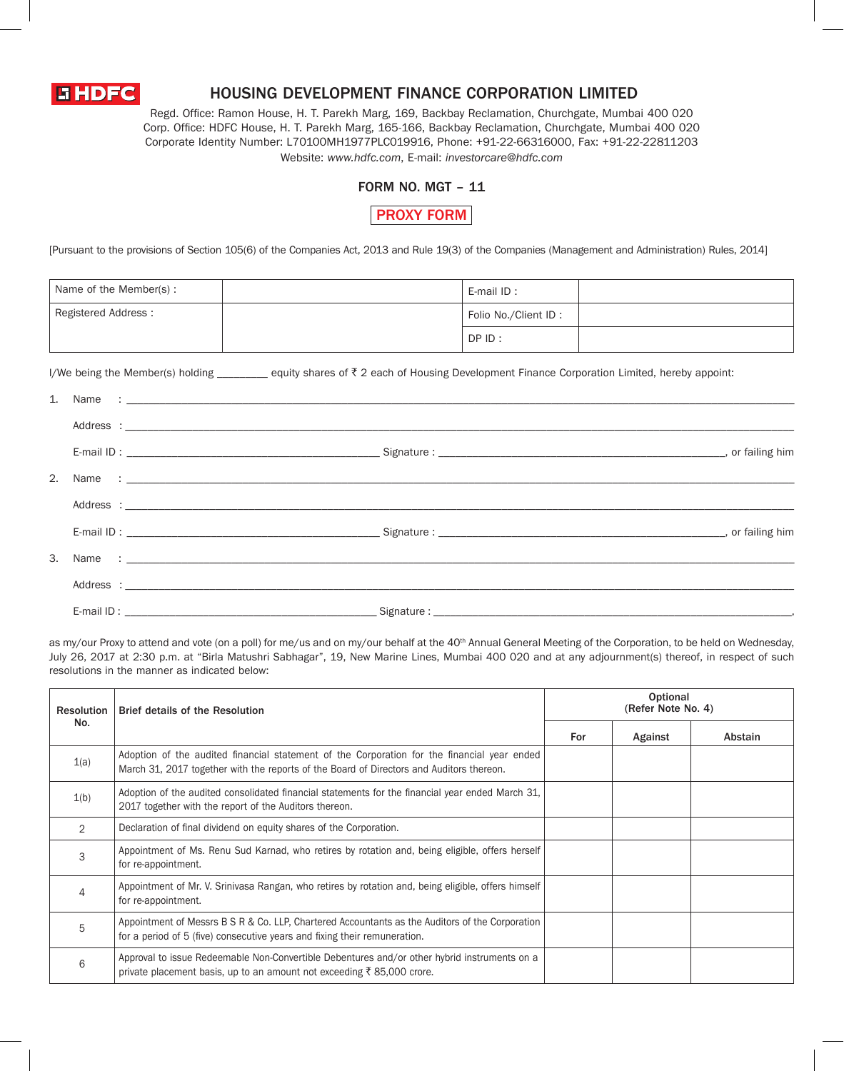

# HOUSING DEVELOPMENT FINANCE CORPORATION LIMITED

Regd. Office: Ramon House, H. T. Parekh Marg, 169, Backbay Reclamation, Churchgate, Mumbai 400 020 Corp. Office: HDFC House, H. T. Parekh Marg, 165-166, Backbay Reclamation, Churchgate, Mumbai 400 020 Corporate Identity Number: L70100MH1977PLC019916, Phone: +91-22-66316000, Fax: +91-22-22811203 Website: *www.hdfc.com*, E-mail: *investorcare@hdfc.com*

## FORM NO. MGT – 11

PROXY FORM

[Pursuant to the provisions of Section 105(6) of the Companies Act, 2013 and Rule 19(3) of the Companies (Management and Administration) Rules, 2014]

| Name of the Member(s): | E-mail ID:           |  |
|------------------------|----------------------|--|
| Registered Address:    | Folio No./Client ID: |  |
|                        | DP ID:               |  |

I/We being the Member(s) holding \_\_\_\_\_\_\_ equity shares of  $\bar{\tau}$  2 each of Housing Development Finance Corporation Limited, hereby appoint:

| 3. |  |
|----|--|
|    |  |
|    |  |

as my/our Proxy to attend and vote (on a poll) for me/us and on my/our behalf at the 40<sup>th</sup> Annual General Meeting of the Corporation, to be held on Wednesday, July 26, 2017 at 2:30 p.m. at "Birla Matushri Sabhagar", 19, New Marine Lines, Mumbai 400 020 and at any adjournment(s) thereof, in respect of such resolutions in the manner as indicated below:

| <b>Resolution</b><br>No. | <b>Brief details of the Resolution</b>                                                                                                                                                  | Optional<br>(Refer Note No. 4) |         |         |
|--------------------------|-----------------------------------------------------------------------------------------------------------------------------------------------------------------------------------------|--------------------------------|---------|---------|
|                          |                                                                                                                                                                                         | For                            | Against | Abstain |
| 1(a)                     | Adoption of the audited financial statement of the Corporation for the financial year ended<br>March 31, 2017 together with the reports of the Board of Directors and Auditors thereon. |                                |         |         |
| 1(b)                     | Adoption of the audited consolidated financial statements for the financial year ended March 31,<br>2017 together with the report of the Auditors thereon.                              |                                |         |         |
| 2                        | Declaration of final dividend on equity shares of the Corporation.                                                                                                                      |                                |         |         |
| 3                        | Appointment of Ms. Renu Sud Karnad, who retires by rotation and, being eligible, offers herself<br>for re-appointment.                                                                  |                                |         |         |
| 4                        | Appointment of Mr. V. Srinivasa Rangan, who retires by rotation and, being eligible, offers himself<br>for re-appointment.                                                              |                                |         |         |
| 5                        | Appointment of Messrs B $S$ R & Co. LLP, Chartered Accountants as the Auditors of the Corporation<br>for a period of 5 (five) consecutive years and fixing their remuneration.          |                                |         |         |
| 6                        | Approval to issue Redeemable Non-Convertible Debentures and/or other hybrid instruments on a<br>private placement basis, up to an amount not exceeding ₹85,000 crore.                   |                                |         |         |